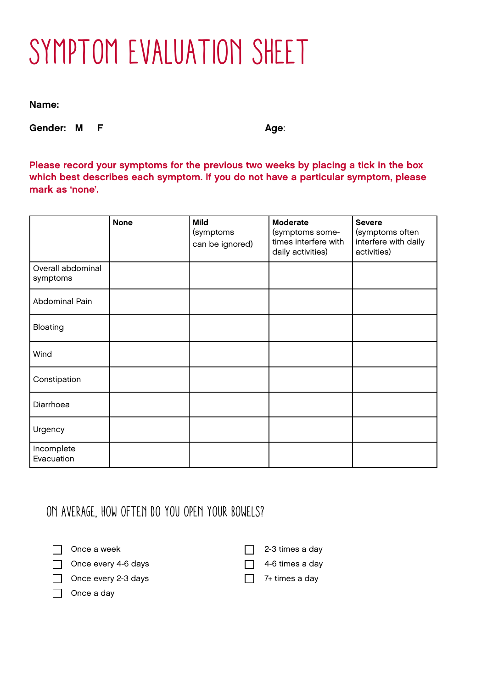## SYMPTOM EVALUATION SHEET

Name:

Gender: M F Age:

Please record your symptoms for the previous two weeks by placing a tick in the box which best describes each symptom. If you do not have a particular symptom, please mark as 'none'.

|                               | <b>None</b> | <b>Mild</b><br>(symptoms<br>can be ignored) | <b>Moderate</b><br>(symptoms some-<br>times interfere with<br>daily activities) | <b>Severe</b><br>(symptoms often<br>interfere with daily<br>activities) |
|-------------------------------|-------------|---------------------------------------------|---------------------------------------------------------------------------------|-------------------------------------------------------------------------|
| Overall abdominal<br>symptoms |             |                                             |                                                                                 |                                                                         |
| Abdominal Pain                |             |                                             |                                                                                 |                                                                         |
| Bloating                      |             |                                             |                                                                                 |                                                                         |
| Wind                          |             |                                             |                                                                                 |                                                                         |
| Constipation                  |             |                                             |                                                                                 |                                                                         |
| Diarrhoea                     |             |                                             |                                                                                 |                                                                         |
| Urgency                       |             |                                             |                                                                                 |                                                                         |
| Incomplete<br>Evacuation      |             |                                             |                                                                                 |                                                                         |

On average, how often do you open your bowels?

 $\Box$  Once a week

Once every 4-6 days

Once every 2-3 days

 $\Box$  Once a day

 $\Box$  2-3 times a day

 $\Box$  4-6 times a day

 $\Box$  7+ times a day